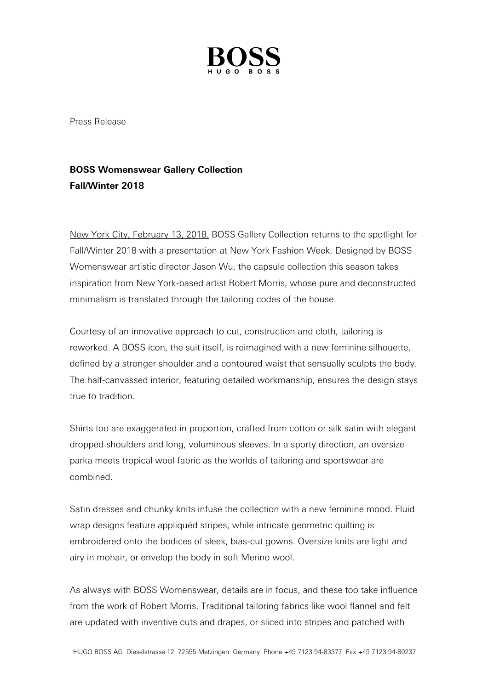

Press Release

## **BOSS Womenswear Gallery Collection Fall/Winter 2018**

New York City, February 13, 2018. BOSS Gallery Collection returns to the spotlight for Fall/Winter 2018 with a presentation at New York Fashion Week. Designed by BOSS Womenswear artistic director Jason Wu, the capsule collection this season takes inspiration from New York-based artist Robert Morris, whose pure and deconstructed minimalism is translated through the tailoring codes of the house.

Courtesy of an innovative approach to cut, construction and cloth, tailoring is reworked. A BOSS icon, the suit itself, is reimagined with a new feminine silhouette, defined by a stronger shoulder and a contoured waist that sensually sculpts the body. The half-canvassed interior, featuring detailed workmanship, ensures the design stays true to tradition.

Shirts too are exaggerated in proportion, crafted from cotton or silk satin with elegant dropped shoulders and long, voluminous sleeves. In a sporty direction, an oversize parka meets tropical wool fabric as the worlds of tailoring and sportswear are combined.

Satin dresses and chunky knits infuse the collection with a new feminine mood. Fluid wrap designs feature appliquéd stripes, while intricate geometric quilting is embroidered onto the bodices of sleek, bias-cut gowns. Oversize knits are light and airy in mohair, or envelop the body in soft Merino wool.

As always with BOSS Womenswear, details are in focus, and these too take influence from the work of Robert Morris. Traditional tailoring fabrics like wool flannel and felt are updated with inventive cuts and drapes, or sliced into stripes and patched with